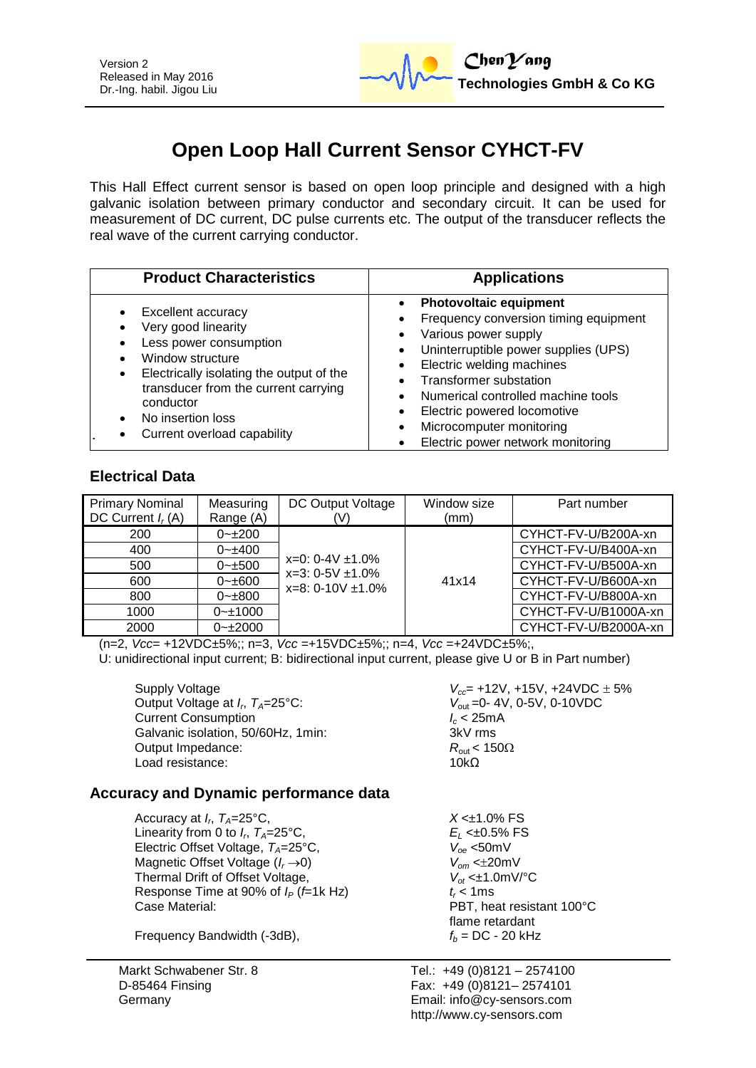

# **Open Loop Hall Current Sensor CYHCT-FV**

This Hall Effect current sensor is based on open loop principle and designed with a high galvanic isolation between primary conductor and secondary circuit. It can be used for measurement of DC current, DC pulse currents etc. The output of the transducer reflects the real wave of the current carrying conductor.

| <b>Product Characteristics</b>                                                                                                                                                                                                                    | <b>Applications</b>                                                                                                                                                                                                                                                                                                                        |  |  |
|---------------------------------------------------------------------------------------------------------------------------------------------------------------------------------------------------------------------------------------------------|--------------------------------------------------------------------------------------------------------------------------------------------------------------------------------------------------------------------------------------------------------------------------------------------------------------------------------------------|--|--|
| Excellent accuracy<br>Very good linearity<br>Less power consumption<br>Window structure<br>Electrically isolating the output of the<br>٠<br>transducer from the current carrying<br>conductor<br>No insertion loss<br>Current overload capability | <b>Photovoltaic equipment</b><br>Frequency conversion timing equipment<br>Various power supply<br>Uninterruptible power supplies (UPS)<br>Electric welding machines<br><b>Transformer substation</b><br>Numerical controlled machine tools<br>Electric powered locomotive<br>Microcomputer monitoring<br>Electric power network monitoring |  |  |

# **Electrical Data**

| <b>Primary Nominal</b><br>DC Current $I_r(A)$ | Measuring<br>Range (A) | DC Output Voltage<br>(V)                                                   | Window size<br>(mm) | Part number          |
|-----------------------------------------------|------------------------|----------------------------------------------------------------------------|---------------------|----------------------|
| 200                                           | $0 - 1200$             |                                                                            |                     | CYHCT-FV-U/B200A-xn  |
| 400                                           | $0 - \pm 400$          | $x=0$ : 0-4V $\pm$ 1.0%<br>$x=3: 0-5V \pm 1.0\%$<br>$x=8: 0-10V \pm 1.0\%$ | 41x14               | CYHCT-FV-U/B400A-xn  |
| 500                                           | $0 - \pm 500$          |                                                                            |                     | CYHCT-FV-U/B500A-xn  |
| 600                                           | $0 - \pm 600$          |                                                                            |                     | CYHCT-FV-U/B600A-xn  |
| 800                                           | $0 - \pm 800$          |                                                                            |                     | CYHCT-FV-U/B800A-xn  |
| 1000                                          | $0 - 1000$             |                                                                            |                     | CYHCT-FV-U/B1000A-xn |
| 2000                                          | $0 - 2000$             |                                                                            |                     | CYHCT-FV-U/B2000A-xn |

(n=2, *Vcc*= +12VDC±5%;; n=3, *Vcc* =+15VDC±5%;; n=4, *Vcc* =+24VDC±5%;,

U: unidirectional input current; B: bidirectional input current, please give U or B in Part number)

Supply Voltage *V<sub>cc</sub>*= +12V, +15V, +24VDC ± 5% Output Voltage at *I<sub><i>r*</sub></sub> $T_A=25^{\circ}$ C: Current Consumption<br>Galvanic isolation, 50/60Hz, 1min:<br>3kV rms Galvanic isolation, 50/60Hz, 1min: Output Impedance: *R*<sub>out</sub> < 150Ω<br>Load resistance: 10kO Load resistance:

*V*<sub>out</sub> = 0-4V, 0-5V, 0-10VDC<br>*I<sub>c</sub>* < 25mA

### **Accuracy and Dynamic performance data**

Accuracy at *I<sub>p</sub>*,  $T_A=25^{\circ}C$ , Linearity from 0 to  $I_r$ ,  $T_A = 25^\circ \text{C}$ , Electric Offset Voltage, *TA*=25°C, *Voe* <50mV Magnetic Offset Voltage ( $I_r \rightarrow 0$ )  $V_{om} < \pm 20 \text{mV}$ <br>Thermal Drift of Offset Voltage,  $V_{of} < \pm 1.0 \text{mV}$ °C Thermal Drift of Offset Voltage,  $V_{ot} \leq 1.0$ <br>Response Time at 90% of  $I_P$  (f=1k Hz)  $t \leq 1$  ms Response Time at 90% of  $I_P$  (*f*=1k Hz) Case Material:

Frequency Bandwidth  $(-3dB)$ ,  $f_b = DC - 20 kHz$ 

Markt Schwabener Str. 8 D-85464 Finsing Germany

 $X < \pm 1.0\%$  FS , *TA*=25°C, *E<sup>L</sup>* <±0.5% FS PBT, heat resistant 100°C flame retardant

Tel.: +49 (0)8121 – 2574100 Fax: +49 (0)8121– 2574101 Email: info@cy-sensors.com http://www.cy-sensors.com